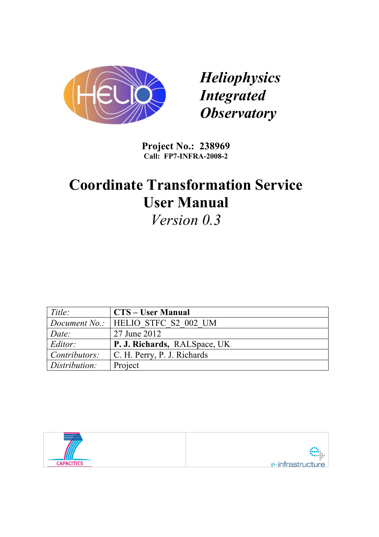

*Heliophysics Integrated Observatory*

**Project No.: 238969 Call: FP7-INFRA-2008-2**

# **Coordinate Transformation Service User Manual**

*Version 0.3*

| Title:        | <b>CTS – User Manual</b>                    |
|---------------|---------------------------------------------|
|               | <i>Document No.:</i>   HELIO STFC S2 002 UM |
| Date:         | 27 June 2012                                |
| Editor:       | P. J. Richards, RALSpace, UK                |
| Contributors: | C. H. Perry, P. J. Richards                 |
| Distribution: | Project                                     |

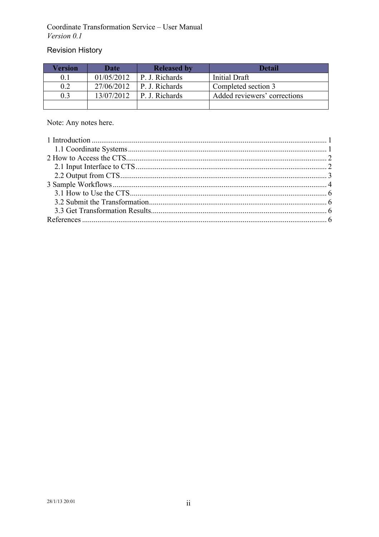## **Revision History**

| Version | Date       | <b>Released by</b> | Detail                       |
|---------|------------|--------------------|------------------------------|
|         | 01/05/2012 | P. J. Richards     | Initial Draft                |
| 0.2     | 27/06/2012 | P. J. Richards     | Completed section 3          |
| 0.3     | 13/07/2012 | P. J. Richards     | Added reviewers' corrections |
|         |            |                    |                              |

Note: Any notes here.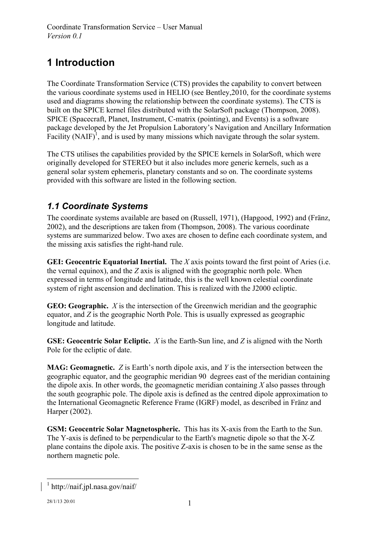## **1 Introduction**

The Coordinate Transformation Service (CTS) provides the capability to convert between the various coordinate systems used in HELIO (see Bentley,2010, for the coordinate systems used and diagrams showing the relationship between the coordinate systems). The CTS is built on the SPICE kernel files distributed with the SolarSoft package (Thompson, 2008). SPICE (Spacecraft, Planet, Instrument, C-matrix (pointing), and Events) is a software package developed by the Jet Propulsion Laboratory's Navigation and Ancillary Information Facility  $(NAIF)^{1}$ , and is used by many missions which navigate through the solar system.

The CTS utilises the capabilities provided by the SPICE kernels in SolarSoft, which were originally developed for STEREO but it also includes more generic kernels, such as a general solar system ephemeris, planetary constants and so on. The coordinate systems provided with this software are listed in the following section.

## *1.1 Coordinate Systems*

The coordinate systems available are based on (Russell, 1971), (Hapgood, 1992) and (Fränz, 2002), and the descriptions are taken from (Thompson, 2008). The various coordinate systems are summarized below. Two axes are chosen to define each coordinate system, and the missing axis satisfies the right-hand rule.

**GEI: Geocentric Equatorial Inertial.** The *X* axis points toward the first point of Aries (i.e. the vernal equinox), and the *Z* axis is aligned with the geographic north pole. When expressed in terms of longitude and latitude, this is the well known celestial coordinate system of right ascension and declination. This is realized with the J2000 ecliptic.

**GEO: Geographic.** *X* is the intersection of the Greenwich meridian and the geographic equator, and *Z* is the geographic North Pole. This is usually expressed as geographic longitude and latitude.

**GSE: Geocentric Solar Ecliptic.** *X* is the Earth-Sun line, and *Z* is aligned with the North Pole for the ecliptic of date.

**MAG: Geomagnetic.** *Z* is Earth's north dipole axis, and *Y* is the intersection between the geographic equator, and the geographic meridian 90 degrees east of the meridian containing the dipole axis. In other words, the geomagnetic meridian containing *X* also passes through the south geographic pole. The dipole axis is defined as the centred dipole approximation to the International Geomagnetic Reference Frame (IGRF) model, as described in Fränz and Harper (2002).

**GSM: Geocentric Solar Magnetospheric.** This has its X-axis from the Earth to the Sun. The Y-axis is defined to be perpendicular to the Earth's magnetic dipole so that the X-Z plane contains the dipole axis. The positive Z-axis is chosen to be in the same sense as the northern magnetic pole.

 $1$  http://naif.jpl.nasa.gov/naif/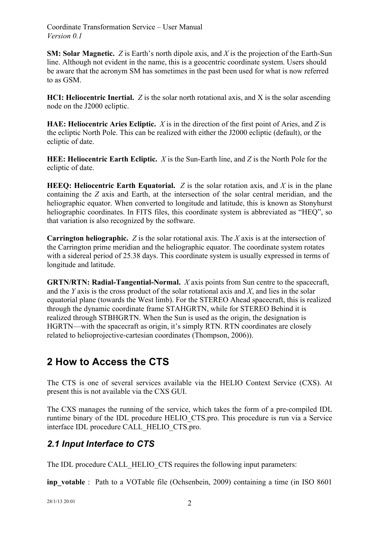**SM: Solar Magnetic.** *Z* is Earth's north dipole axis, and *X* is the projection of the Earth-Sun line. Although not evident in the name, this is a geocentric coordinate system. Users should be aware that the acronym SM has sometimes in the past been used for what is now referred to as GSM.

**HCI: Heliocentric Inertial.** *Z* is the solar north rotational axis, and X is the solar ascending node on the J2000 ecliptic.

**HAE: Heliocentric Aries Ecliptic.** *X* is in the direction of the first point of Aries, and *Z* is the ecliptic North Pole. This can be realized with either the J2000 ecliptic (default), or the ecliptic of date.

**HEE: Heliocentric Earth Ecliptic.** *X* is the Sun-Earth line, and *Z* is the North Pole for the ecliptic of date.

**HEEQ: Heliocentric Earth Equatorial.**  $Z$  is the solar rotation axis, and  $X$  is in the plane containing the *Z* axis and Earth, at the intersection of the solar central meridian, and the heliographic equator. When converted to longitude and latitude, this is known as Stonyhurst heliographic coordinates. In FITS files, this coordinate system is abbreviated as "HEQ", so that variation is also recognized by the software.

**Carrington heliographic.** *Z* is the solar rotational axis. The *X* axis is at the intersection of the Carrington prime meridian and the heliographic equator. The coordinate system rotates with a sidereal period of 25.38 days. This coordinate system is usually expressed in terms of longitude and latitude.

**GRTN/RTN: Radial-Tangential-Normal.** *X* axis points from Sun centre to the spacecraft, and the *Y* axis is the cross product of the solar rotational axis and *X*, and lies in the solar equatorial plane (towards the West limb). For the STEREO Ahead spacecraft, this is realized through the dynamic coordinate frame STAHGRTN, while for STEREO Behind it is realized through STBHGRTN. When the Sun is used as the origin, the designation is HGRTN—with the spacecraft as origin, it's simply RTN. RTN coordinates are closely related to helioprojective-cartesian coordinates (Thompson, 2006)).

## **2 How to Access the CTS**

The CTS is one of several services available via the HELIO Context Service (CXS). At present this is not available via the CXS GUI.

The CXS manages the running of the service, which takes the form of a pre-compiled IDL runtime binary of the IDL procedure HELIO\_CTS.pro. This procedure is run via a Service interface IDL procedure CALL\_HELIO\_CTS.pro.

### *2.1 Input Interface to CTS*

The IDL procedure CALL\_HELIO\_CTS requires the following input parameters:

**inp\_votable** : Path to a VOTable file (Ochsenbein, 2009) containing a time (in ISO 8601)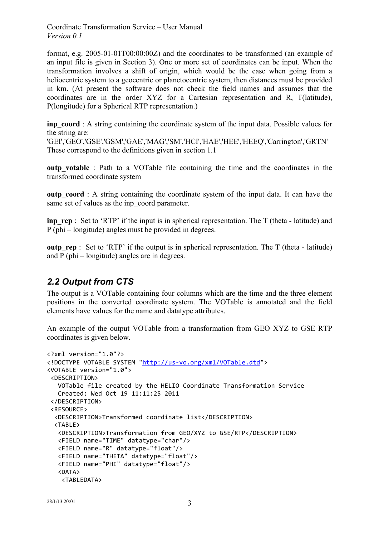format, e.g. 2005-01-01T00:00:00Z) and the coordinates to be transformed (an example of an input file is given in Section 3). One or more set of coordinates can be input. When the transformation involves a shift of origin, which would be the case when going from a heliocentric system to a geocentric or planetocentric system, then distances must be provided in km. (At present the software does not check the field names and assumes that the coordinates are in the order XYZ for a Cartesian representation and R, T(latitude), P(longitude) for a Spherical RTP representation.)

**inp\_coord** : A string containing the coordinate system of the input data. Possible values for the string are:

'GEI','GEO','GSE','GSM','GAE','MAG','SM','HCI','HAE','HEE','HEEQ','Carrington','GRTN' These correspond to the definitions given in section 1.1

**outp** votable : Path to a VOTable file containing the time and the coordinates in the transformed coordinate system

**outp** coord : A string containing the coordinate system of the input data. It can have the same set of values as the inp\_coord parameter.

**inp\_rep** : Set to 'RTP' if the input is in spherical representation. The T (theta - latitude) and P (phi – longitude) angles must be provided in degrees.

**outp** rep : Set to 'RTP' if the output is in spherical representation. The T (theta - latitude) and P (phi – longitude) angles are in degrees.

#### *2.2 Output from CTS*

The output is a VOTable containing four columns which are the time and the three element positions in the converted coordinate system. The VOTable is annotated and the field elements have values for the name and datatype attributes.

An example of the output VOTable from a transformation from GEO XYZ to GSE RTP coordinates is given below.

```
<?xml version="1.0"?>
<!DOCTYPE VOTABLE SYSTEM "http://us-vo.org/xml/VOTable.dtd">
<VOTABLE version="1.0">
 <DESCRIPTION>
   			VOTable file created by the HELIO Coordinate Transformation Service
   			Created: Wed Oct 19 11:11:25 2011
 </DESCRIPTION>
 <RESOURCE>
  		<DESCRIPTION>Transformed coordinate list</DESCRIPTION>
  		<TABLE>
   			<DESCRIPTION>Transformation from GEO/XYZ to GSE/RTP</DESCRIPTION>
   			<FIELD name="TIME" datatype="char"/>
   			<FIELD name="R" datatype="float"/>
   			<FIELD name="THETA" datatype="float"/>
   			<FIELD name="PHI" datatype="float"/>
   			<DATA>
    				<TABLEDATA>
```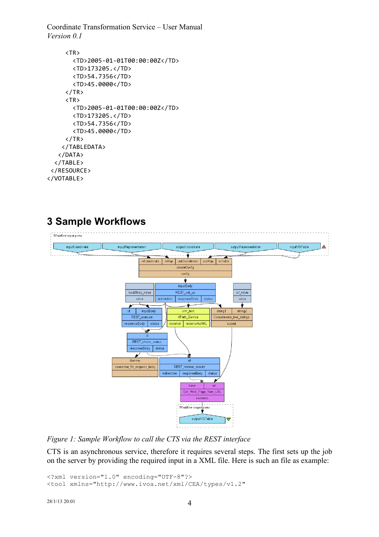```
					<TR>
          							<TD>2005-01-01T00:00:00Z</TD>
          							<TD>173205.</TD>
          							<TD>54.7356</TD>
          							<TD>45.0000</TD>
       \langle/TR\rangle					<TR>
          							<TD>2005-01-01T00:00:00Z</TD>
          							<TD>173205.</TD>
          							<TD>54.7356</TD>
          							<TD>45.0000</TD>
       \langle/TR\rangle				</TABLEDATA>
    			</DATA>
   		</TABLE>
 </RESOURCE>
</VOTABLE>
```
## **3 Sample Workflows**



*Figure 1: Sample Workflow to call the CTS via the REST interface*

CTS is an asynchronous service, therefore it requires several steps. The first sets up the job on the server by providing the required input in a XML file. Here is such an file as example:

```
<?xml version="1.0" encoding="UTF-8"?>
<tool xmlns="http://www.ivoa.net/xml/CEA/types/v1.2"
```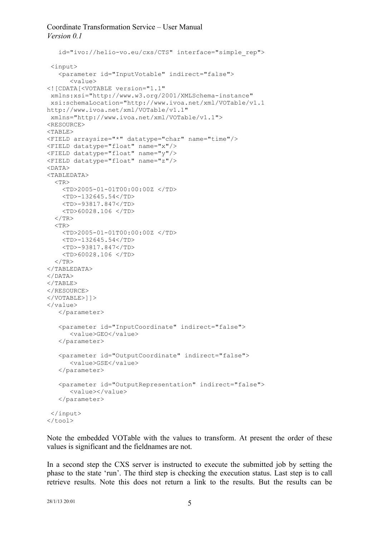```
 id="ivo://helio-vo.eu/cxs/CTS" interface="simple_rep">
 <input>
    <parameter id="InputVotable" indirect="false">
       <value>
<![CDATA[<VOTABLE version="1.1"
 xmlns:xsi="http://www.w3.org/2001/XMLSchema-instance"
xsi:schemaLocation="http://www.ivoa.net/xml/VOTable/v1.1 
http://www.ivoa.net/xml/VOTable/v1.1"
xmlns="http://www.ivoa.net/xml/VOTable/v1.1">
<RESOURCE>
ZTABLE><FIELD arraysize="*" datatype="char" name="time"/>
<FIELD datatype="float" name="x"/>
<FIELD datatype="float" name="y"/>
<FIELD datatype="float" name="z"/>
<DATA>
<TABLEDATA>
  <TR> <TD>2005-01-01T00:00:00Z </TD>
     <TD>-132645.54</TD>
     <TD>-93817.847</TD>
     <TD>60028.106 </TD>
  \langle/TR><TR> <TD>2005-01-01T00:00:00Z </TD>
     <TD>-132645.54</TD>
     <TD>-93817.847</TD>
     <TD>60028.106 </TD>
  \langle/TR></TABLEDATA>
</DATA>
\langle/TABLE>
</RESOURCE>
</VOTABLE>]]>
\langle/value>
    </parameter>
    <parameter id="InputCoordinate" indirect="false">
       <value>GEO</value>
    </parameter>
    <parameter id="OutputCoordinate" indirect="false">
       <value>GSE</value>
    </parameter>
    <parameter id="OutputRepresentation" indirect="false">
       <value></value>
    </parameter>
 </input>
</tool>
```
Note the embedded VOTable with the values to transform. At present the order of these values is significant and the fieldnames are not.

In a second step the CXS server is instructed to execute the submitted job by setting the phase to the state 'run'. The third step is checking the execution status. Last step is to call retrieve results. Note this does not return a link to the results. But the results can be